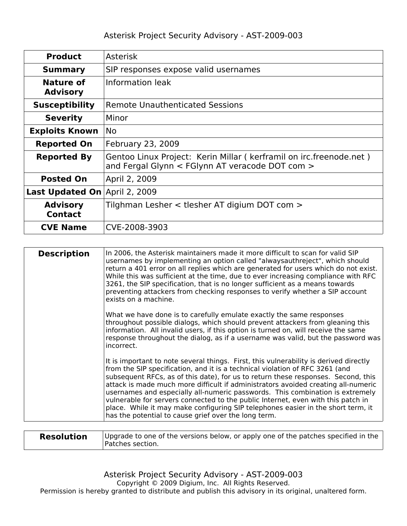| <b>Product</b>                    | <b>Asterisk</b>                                                                                                         |  |
|-----------------------------------|-------------------------------------------------------------------------------------------------------------------------|--|
| <b>Summary</b>                    | SIP responses expose valid usernames                                                                                    |  |
| Nature of<br><b>Advisory</b>      | Information leak                                                                                                        |  |
| <b>Susceptibility</b>             | <b>Remote Unauthenticated Sessions</b>                                                                                  |  |
| <b>Severity</b>                   | Minor                                                                                                                   |  |
| <b>Exploits Known</b>             | <b>No</b>                                                                                                               |  |
| <b>Reported On</b>                | February 23, 2009                                                                                                       |  |
| <b>Reported By</b>                | Gentoo Linux Project: Kerin Millar ( kerframil on irc.freenode.net )<br>and Fergal Glynn < FGlynn AT veracode DOT com > |  |
| <b>Posted On</b>                  | April 2, 2009                                                                                                           |  |
| <b>Last Updated On</b>            | April 2, 2009                                                                                                           |  |
| <b>Advisory</b><br><b>Contact</b> | Tilghman Lesher < tlesher AT digium DOT com >                                                                           |  |
| <b>CVE Name</b>                   | CVE-2008-3903                                                                                                           |  |

| <b>Description</b> | In 2006, the Asterisk maintainers made it more difficult to scan for valid SIP<br>usernames by implementing an option called "alwaysauthreject", which should<br>return a 401 error on all replies which are generated for users which do not exist.<br>While this was sufficient at the time, due to ever increasing compliance with RFC<br>3261, the SIP specification, that is no longer sufficient as a means towards<br>preventing attackers from checking responses to verify whether a SIP account<br>exists on a machine.                                                                                                                                |
|--------------------|------------------------------------------------------------------------------------------------------------------------------------------------------------------------------------------------------------------------------------------------------------------------------------------------------------------------------------------------------------------------------------------------------------------------------------------------------------------------------------------------------------------------------------------------------------------------------------------------------------------------------------------------------------------|
|                    | What we have done is to carefully emulate exactly the same responses<br>throughout possible dialogs, which should prevent attackers from gleaning this<br>information. All invalid users, if this option is turned on, will receive the same<br>response throughout the dialog, as if a username was valid, but the password was<br>incorrect.                                                                                                                                                                                                                                                                                                                   |
|                    | It is important to note several things. First, this vulnerability is derived directly<br>from the SIP specification, and it is a technical violation of RFC 3261 (and<br>subsequent RFCs, as of this date), for us to return these responses. Second, this<br>attack is made much more difficult if administrators avoided creating all-numeric<br>usernames and especially all-numeric passwords. This combination is extremely<br>vulnerable for servers connected to the public Internet, even with this patch in<br>place. While it may make configuring SIP telephones easier in the short term, it<br>has the potential to cause grief over the long term. |
|                    |                                                                                                                                                                                                                                                                                                                                                                                                                                                                                                                                                                                                                                                                  |

| <b>Resolution</b> | Upgrade to one of the versions below, or apply one of the patches specified in the<br>'Patches section. |
|-------------------|---------------------------------------------------------------------------------------------------------|
|-------------------|---------------------------------------------------------------------------------------------------------|

Asterisk Project Security Advisory - AST-2009-003

Copyright © 2009 Digium, Inc. All Rights Reserved.

Permission is hereby granted to distribute and publish this advisory in its original, unaltered form.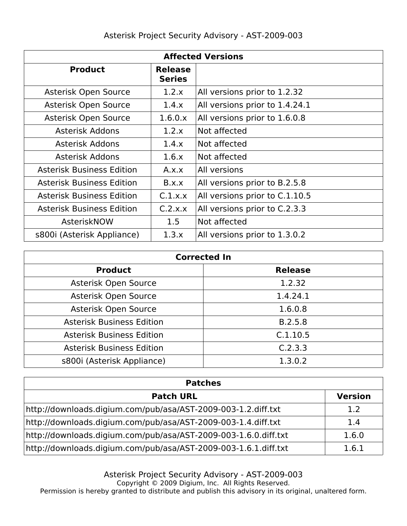| <b>Affected Versions</b>         |                                 |                                |  |
|----------------------------------|---------------------------------|--------------------------------|--|
| <b>Product</b>                   | <b>Release</b><br><b>Series</b> |                                |  |
| Asterisk Open Source             | 1.2.x                           | All versions prior to 1.2.32   |  |
| Asterisk Open Source             | 1.4.x                           | All versions prior to 1.4.24.1 |  |
| Asterisk Open Source             | 1.6.0.x                         | All versions prior to 1.6.0.8  |  |
| <b>Asterisk Addons</b>           | 1.2.x                           | Not affected                   |  |
| <b>Asterisk Addons</b>           | 1.4.x                           | Not affected                   |  |
| Asterisk Addons                  | 1.6.x                           | Not affected                   |  |
| <b>Asterisk Business Edition</b> | A.x.x                           | All versions                   |  |
| <b>Asterisk Business Edition</b> | B.x.x                           | All versions prior to B.2.5.8  |  |
| <b>Asterisk Business Edition</b> | C.1.x.x                         | All versions prior to C.1.10.5 |  |
| <b>Asterisk Business Edition</b> | C.2.x.x                         | All versions prior to C.2.3.3  |  |
| AsteriskNOW                      | 1.5                             | Not affected                   |  |
| s800i (Asterisk Appliance)       | 1.3.x                           | All versions prior to 1.3.0.2  |  |

| <b>Corrected In</b>              |                |  |  |
|----------------------------------|----------------|--|--|
| <b>Product</b>                   | <b>Release</b> |  |  |
| Asterisk Open Source             | 1.2.32         |  |  |
| Asterisk Open Source             | 1.4.24.1       |  |  |
| Asterisk Open Source             | 1.6.0.8        |  |  |
| <b>Asterisk Business Edition</b> | B.2.5.8        |  |  |
| <b>Asterisk Business Edition</b> | C.1.10.5       |  |  |
| <b>Asterisk Business Edition</b> | C.2.3.3        |  |  |
| s800i (Asterisk Appliance)       | 1.3.0.2        |  |  |

| <b>Patches</b>                                                           |                |
|--------------------------------------------------------------------------|----------------|
| <b>Patch URL</b>                                                         | <b>Version</b> |
| http://downloads.digium.com/pub/asa/AST-2009-003-1.2.diff.txt            | 1.2            |
| http://downloads.digium.com/pub/asa/AST-2009-003-1.4.diff.txt            | 1.4            |
| http://downloads.digium.com/pub/asa/AST-2009-003-1.6.0.diff.txt<br>1.6.0 |                |
| http://downloads.digium.com/pub/asa/AST-2009-003-1.6.1.diff.txt          |                |

Asterisk Project Security Advisory - AST-2009-003

Copyright © 2009 Digium, Inc. All Rights Reserved.

Permission is hereby granted to distribute and publish this advisory in its original, unaltered form.